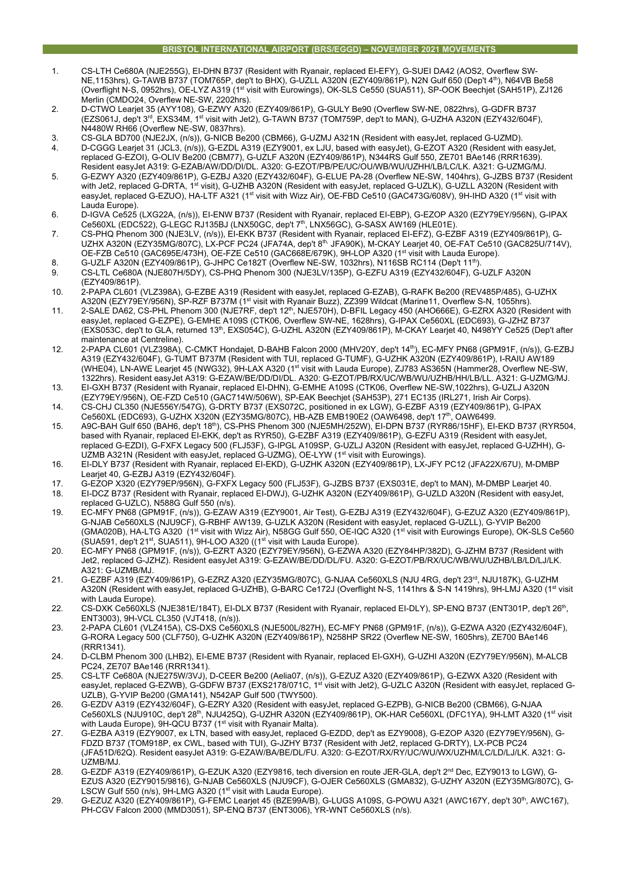- 1. CS-LTH Ce680A (NJE255G), EI-DHN B737 (Resident with Ryanair, replaced EI-EFY), G-SUEI DA42 (AOS2, Overflew SW-NE,1153hrs), G-TAWB B737 (TOM765P, dep't to BHX), G-UZLL A320N (EZY409/861P), N2N Gulf 650 (Dep't 4th), N64VB Be58 (Overflight N-S, 0952hrs), OE-LYZ A319 (1<sup>st</sup> visit with Eurowings), OK-SLS Ce550 (SUA511), SP-OOK Beechjet (SAH51P), ZJ126 Merlin (CMDO24, Overflew NE-SW, 2202hrs).
- 2. D-CTWO Learjet 35 (AYY108), G-EZWY A320 (EZY409/861P), G-GULY Be90 (Overflew SW-NE, 0822hrs), G-GDFR B737 (EZS061J, dep't 3<sup>rd</sup>, EXS34M, 1st visit with Jet2), G-TAWN B737 (TOM759P, dep't to MAN), G-UZHA A320N (EZY432/604F), N4480W RH66 (Overflew NE-SW, 0837hrs).
- 3. CS-GLA BD700 (NJE2JX, (n/s)), G-NICB Be200 (CBM66), G-UZMJ A321N (Resident with easyJet, replaced G-UZMD). 4. D-CGGG Learjet 31 (JCL3, (n/s)), G-EZDL A319 (EZY9001, ex LJU, based with easyJet), G-EZOT A320 (Resident with easyJet, replaced G-EZOI), G-OLIV Be200 (CBM77), G-UZLF A320N (EZY409/861P), N344RS Gulf 550, ZE701 BAe146 (RRR1639). Resident easyJet A319: G-EZAB/AW/DD/DI/DL. A320: G-EZOT/PB/PE/UC/OU/WB/WU/UZHH/LB/LC/LK. A321: G-UZMG/MJ.
- 5. G-EZWY A320 (EZY409/861P), G-EZBJ A320 (EZY432/604F), G-ELUE PA-28 (Overflew NE-SW, 1404hrs), G-JZBS B737 (Resident with Jet2, replaced G-DRTA, 1st visit), G-UZHB A320N (Resident with easyJet, replaced G-UZLK), G-UZLL A320N (Resident with easyJet, replaced G-EZUO), HA-LTF A321 (1st visit with Wizz Air), OE-FBD Ce510 (GAC473G/608V), 9H-IHD A320 (1st visit with Lauda Europe).
- 6. D-IGVA Ce525 (LXG22A, (n/s)), EI-ENW B737 (Resident with Ryanair, replaced EI-EBP), G-EZOP A320 (EZY79EY/956N), G-IPAX Ce560XL (EDC522), G-LEGC RJ135BJ (LNX50GC, dep't 7<sup>th</sup>, LNX56GC), G-SASX AW169 (HLE01E).
- 7. CS-PHQ Phenom 300 (NJE3LV, (n/s)), EI-EKK B737 (Resident with Ryanair, replaced EI-EFZ), G-EZBF A319 (EZY409/861P), G-UZHX A320N (EZY35MG/807C), LX-PCF PC24 (JFA74A, dep't 8<sup>th,</sup> JFA90K), M-CKAY Learjet 40, OE-FAT Ce510 (GAC825U/714V), OE-FZB Ce510 (GAC695E/473H), OE-FZE Ce510 (GAC668E/679K), 9H-LOP A320 (1st visit with Lauda Europe).
- 8. G-UZLF A320N (EZY409/861P), G-JHPC Ce182T (Overflew NE-SW, 1032hrs), N116SB RC114 (Dep't 11<sup>th</sup>). 9. CS-LTL Ce680A (NJE807H/5DY), CS-PHQ Phenom 300 (NJE3LV/135P), G-EZFU A319 (EZY432/604F), G-UZLF A320N (EZY409/861P).
- 10. 2-PAPA CL601 (VLZ398A), G-EZBE A319 (Resident with easyJet, replaced G-EZAB), G-RAFK Be200 (REV485P/485), G-UZHX A320N (EZY79EY/956N), SP-RZF B737M (1st visit with Ryanair Buzz), ZZ399 Wildcat (Marine11, Overflew S-N, 1055hrs).
- 11. 2-SALE DA62, CS-PHL Phenom 300 (NJE7RF, dep't 12<sup>th</sup>, NJE570H), D-BFIL Legacy 450 (AHO666E), G-EZRX A320 (Resident with easyJet, replaced G-EZPE), G-EMHE A109S (CTK06, Overflew SW-NE, 1628hrs), G-IPAX Ce560XL (EDC693), G-JZHZ B737 (EXS053C, dep't to GLA, returned 13th, EXS054C), G-UZHL A320N (EZY409/861P), M-CKAY Learjet 40, N498YY Ce525 (Dep't after maintenance at Centreline).
- 12. 2-PAPA CL601 (VLZ398A), C-CMKT Hondajet, D-BAHB Falcon 2000 (MHV20Y, dep't 14th), EC-MFY PN68 (GPM91F, (n/s)), G-EZBJ A319 (EZY432/604F), G-TUMT B737M (Resident with TUI, replaced G-TUMF), G-UZHK A320N (EZY409/861P), I-RAIU AW189 (WHE04), LN-AWE Learjet 45 (NWG32), 9H-LAX A320 (1st vitsit with Lauda Europe), ZJ783 AS365N (Hammer28, Overflew NE-SW, 1322hrs). Resident easyJet A319: G-EZAW/BE/DD/DI/DL. A320: G-EZOT/PB/RX/UC/WB/WU/UZHB/HH/LB/LL. A321: G-UZMG/MJ.
- 13. EI-GXH B737 (Resident with Ryanair, replaced EI-DHN), G-EMHE A109S (CTK06, Overflew NE-SW,1022hrs), G-UZLJ A320N (EZY79EY/956N), OE-FZD Ce510 (GAC714W/506W), SP-EAK Beechjet (SAH53P), 271 EC135 (IRL271, Irish Air Corps).
- 14. CS-CHJ CL350 (NJE556Y/547G), G-DRTY B737 (EXS072C, positioned in ex LGW), G-EZBF A319 (EZY409/861P), G-IPAX Ce560XL (EDC693), G-UZHX X320N (EZY35MG/807C), HB-AZB EMB190E2 (OAW6498, dep't 17th, OAW6499.
- 15. A9C-BAH Gulf 650 (BAH6, dep't 18th), CS-PHS Phenom 300 (NJE5MH/252W), EI-DPN B737 (RYR86/15HF), EI-EKD B737 (RYR504, based with Ryanair, replaced EI-EKK, dep't as RYR50), G-EZBF A319 (EZY409/861P), G-EZFU A319 (Resident with easyJet, replaced G-EZDI), G-FXFX Legacy 500 (FLJ53F), G-IPGL A109SP, G-UZLJ A320N (Resident with easyJet, replaced G-UZHH), G-UZMB A321N (Resident with easyJet, replaced G-UZMG), OE-LYW (1<sup>st</sup> visit with Eurowings).
- 16. EI-DLY B737 (Resident with Ryanair, replaced EI-EKD), G-UZHK A320N (EZY409/861P), LX-JFY PC12 (JFA22X/67U), M-DMBP Learjet 40, G-EZBJ A319 (EZY432/604F).
- 17. G-EZOP X320 (EZY79EP/956N), G-FXFX Legacy 500 (FLJ53F), G-JZBS B737 (EXS031E, dep't to MAN), M-DMBP Learjet 40.
- 18. EI-DCZ B737 (Resident with Ryanair, replaced EI-DWJ), G-UZHK A320N (EZY409/861P), G-UZLD A320N (Resident with easyJet, replaced G-UZLC), N588G Gulf 550 (n/s).
- 19. EC-MFY PN68 (GPM91F, (n/s)), G-EZAW A319 (EZY9001, Air Test), G-EZBJ A319 (EZY432/604F), G-EZUZ A320 (EZY409/861P), G-NJAB Ce560XLS (NJU9CF), G-RBHF AW139, G-UZLK A320N (Resident with easyJet, replaced G-UZLL), G-YVIP Be200 (GMA020B), HA-LTG A320 (1<sup>st</sup> visit with Wizz Air), N58GG Gulf 550, OE-IQC A320 (1<sup>st</sup> visit with Eurowings Europe), OK-SLS Ce560  $(SUA591,$  dep't 21<sup>st</sup>, SUA511), 9H-LOO A320 ((1<sup>st'</sup> visit with Lauda Europe).
- 20. EC-MFY PN68 (GPM91F, (n/s)), G-EZRT A320 (EZY79EY/956N), G-EZWA A320 (EZY84HP/382D), G-JZHM B737 (Resident with Jet2, replaced G-JZHZ). Resident easyJet A319: G-EZAW/BE/DD/DL/FU. A320: G-EZOT/PB/RX/UC/WB/WU/UZHB/LB/LD/LJ/LK. A321: G-UZMB/MJ.
- 21. G-EZBF A319 (EZY409/861P), G-EZRZ A320 (EZY35MG/807C), G-NJAA Ce560XLS (NJU 4RG, dep't 23<sup>rd</sup>, NJU187K), G-UZHM A320N (Resident with easyJet, replaced G-UZHB), G-BARC Ce172J (Overflight N-S, 1141hrs & S-N 1419hrs), 9H-LMJ A320 (1<sup>st</sup> visit with Lauda Europe).
- 22. CS-DXK Ce560XLS (NJE381E/184T), EI-DLX B737 (Resident with Ryanair, replaced EI-DLY), SP-ENQ B737 (ENT301P, dep't 26<sup>th</sup>, ENT3003), 9H-VCL CL350 (VJT418, (n/s)).
- 23. 2-PAPA CL601 (VLZ415A), CS-DXS Ce560XLS (NJE500L/827H), EC-MFY PN68 (GPM91F, (n/s)), G-EZWA A320 (EZY432/604F), G-RORA Legacy 500 (CLF750), G-UZHK A320N (EZY409/861P), N258HP SR22 (Overflew NE-SW, 1605hrs), ZE700 BAe146 (RRR1341).
- 24. D-CLBM Phenom 300 (LHB2), EI-EME B737 (Resident with Ryanair, replaced EI-GXH), G-UZHI A320N (EZY79EY/956N), M-ALCB PC24, ZE707 BAe146 (RRR1341).
- 25. CS-LTF Ce680A (NJE275W/3VJ), D-CEER Be200 (Aelia07, (n/s)), G-EZUZ A320 (EZY409/861P), G-EZWX A320 (Resident with easyJet, replaced G-EZWB), G-GDFW B737 (EXS2178/071C, 1<sup>st</sup> visit with Jet2), G-UZLC A320N (Resident with easyJet, replaced G-UZLB), G-YVIP Be200 (GMA141), N542AP Gulf 500 (TWY500).
- 26. G-EZDV A319 (EZY432/604F), G-EZRY A320 (Resident with easyJet, replaced G-EZPB), G-NICB Be200 (CBM66), G-NJAA Ce560XLS (NJU910C, dep't 28<sup>th</sup>, NJU425Q), G-UZHR A320N (EZY409/861P), OK-HAR Ce560XL (DFC1YA), 9H-LMT A320 (1<sup>st</sup> visit with Lauda Europe), 9H-QCU B737 (1<sup>st</sup> visit with Ryanair Malta).
- 27. G-EZBA A319 (EZY9007, ex LTN, based with easyJet, replaced G-EZDD, dep't as EZY9008), G-EZOP A320 (EZY79EY/956N), G-FDZD B737 (TOM918P, ex CWL, based with TUI), G-JZHY B737 (Resident with Jet2, replaced G-DRTY), LX-PCB PC24 (JFA51D/62Q). Resident easyJet A319: G-EZAW/BA/BE/DL/FU. A320: G-EZOT/RX/RY/UC/WU/WX/UZHM/LC/LD/LJ/LK. A321: G-UZMB/MJ.
- 28. G-EZDF A319 (EZY409/861P), G-EZUK A320 (EZY9816, tech diversion en route JER-GLA, dep't 2<sup>nd</sup> Dec, EZY9013 to LGW), G-EZUS A320 (EZY9015/9816), G-NJAB Ce560XLS (NJU9CF), G-OJER Ce560XLS (GMA832), G-UZHY A320N (EZY35MG/807C), G-LSCW Gulf 550 (n/s), 9H-LMG A320 (1<sup>st</sup> visit with Lauda Europe).
- 29. G-EZUZ A320 (EZY409/861P), G-FEMC Learjet 45 (BZE99A/B), G-LUGS A109S, G-POWU A321 (AWC167Y, dep't 30th, AWC167), PH-CGV Falcon 2000 (MMD3051), SP-ENQ B737 (ENT3006), YR-WNT Ce560XLS (n/s).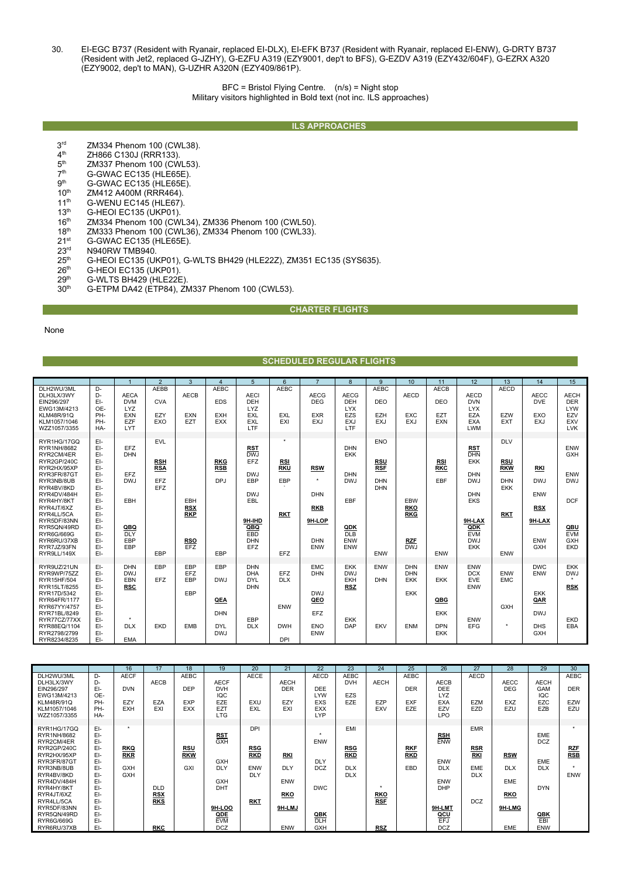30. EI-EGC B737 (Resident with Ryanair, replaced EI-DLX), EI-EFK B737 (Resident with Ryanair, replaced EI-ENW), G-DRTY B737 (Resident with Jet2, replaced G-JZHY), G-EZFU A319 (EZY9001, dep't to BFS), G-EZDV A319 (EZY432/604F), G-EZRX A320 (EZY9002, dep't to MAN), G-UZHR A320N (EZY409/861P).

> BFC = Bristol Flying Centre. (n/s) = Night stop Military visitors highlighted in Bold text (not inc. ILS approaches)

## **ILS APPROACHES**

- $3^{\text{rd}}$  ZM334 Phenom 100 (CWL38).<br> $4^{\text{th}}$  ZH866 C130J (RRR133).
- $4<sup>th</sup>$  ZH866 C130J (RRR133).<br> $5<sup>th</sup>$  ZM337 Phenom 100 (CW
- $5<sup>th</sup>$  ZM337 Phenom 100 (CWL53).<br> $7<sup>th</sup>$  G-GWAC EC135 (HLE65E).
- $7<sup>th</sup>$  G-GWAC EC135 (HLE65E).<br> $9<sup>th</sup>$  G-GWAC EC135 (HI F65F)
- $9<sup>th</sup>$  G-GWAC EC135 (HLE65E).<br>10<sup>th</sup> ZM412 A400M (RRR464).
- $10^{th}$  ZM412 A400M (RRR464).<br>11<sup>th</sup> G-WENU EC145 (HLE67)
- $11^{th}$  G-WENU EC145 (HLE67).<br> $13^{th}$  G-HEOI EC135 (UKP01).
- 13<sup>th</sup> G-HEOI EC135 (UKP01).<br>16<sup>th</sup> ZM334 Phenom 100 (CW
- 16<sup>th</sup> ZM334 Phenom 100 (CWL34), ZM336 Phenom 100 (CWL50).<br>18<sup>th</sup> ZM333 Phenom 100 (CWL36), ZM334 Phenom 100 (CWL33).
- 18<sup>th</sup> ZM333 Phenom 100 (CWL36), ZM334 Phenom 100 (CWL33).<br>21<sup>st</sup> G-GWAC EC135 (HLE65E).
- $21^{st}$  G-GWAC EC135 (HLE65E).<br> $23^{rd}$  N940RW TMB940.
- 23<sup>rd</sup> N940RW TMB940.<br>25<sup>th</sup> G-HEOI EC135 (UI 25<sup>th</sup> G-HEOI EC135 (UKP01), G-WLTS BH429 (HLE22Z), ZM351 EC135 (SYS635).<br>26<sup>th</sup> G-HEOI EC135 (UKP01).
- $26th$  G-HEOI EC135 (UKP01).<br> $29th$  G-WLTS BH429 (HLE22F
- 
- $29^{th}$  G-WLTS BH429 (HLE22E).<br> $30^{th}$  G-ETPM DA42 (ETP84) 71 G-ETPM DA42 (ETP84), ZM337 Phenom 100 (CWL53).

## **CHARTER FLIGHTS**

**SCHEDULED REGULAR FLIGHTS** 

None

|                                                                                                                                                                                                                                                                     |                                                                                                                            |                                                                                         |                                                                    |                                                             |                                                             |                                                                                                                        |                                                             | SUNEDULED KEUULAK FLIUNTS                                                         |                                                                                         |                                                                           |                                                                    |                                                             |                                                                                                                                                           |                                                                                                |                                                                                            |                                                                                  |
|---------------------------------------------------------------------------------------------------------------------------------------------------------------------------------------------------------------------------------------------------------------------|----------------------------------------------------------------------------------------------------------------------------|-----------------------------------------------------------------------------------------|--------------------------------------------------------------------|-------------------------------------------------------------|-------------------------------------------------------------|------------------------------------------------------------------------------------------------------------------------|-------------------------------------------------------------|-----------------------------------------------------------------------------------|-----------------------------------------------------------------------------------------|---------------------------------------------------------------------------|--------------------------------------------------------------------|-------------------------------------------------------------|-----------------------------------------------------------------------------------------------------------------------------------------------------------|------------------------------------------------------------------------------------------------|--------------------------------------------------------------------------------------------|----------------------------------------------------------------------------------|
|                                                                                                                                                                                                                                                                     |                                                                                                                            |                                                                                         | $\overline{2}$                                                     | 3                                                           | $\boldsymbol{\Delta}$                                       | $5\overline{5}$                                                                                                        | 6                                                           | $\overline{7}$                                                                    | $\mathbf{8}$                                                                            | 9                                                                         | 10                                                                 | 11                                                          | 12                                                                                                                                                        | 13                                                                                             | 14                                                                                         | 15                                                                               |
| DLH2WU/3ML<br>DLH3LX/3WY<br>EIN296/297<br>EWG13M/4213<br><b>KLM48R/91Q</b><br>KLM1057/1046<br>WZZ1057/3355                                                                                                                                                          | D-<br>D-<br>$E$ -<br>OE-<br>PH-<br>PH-<br>HA-                                                                              | <b>AECA</b><br><b>DVM</b><br><b>LYZ</b><br><b>EXN</b><br>EZF<br>LYT                     | AEBB<br><b>CVA</b><br>EZY<br>EXO                                   | <b>AECB</b><br>EXN<br><b>EZT</b>                            | <b>AEBC</b><br><b>EDS</b><br><b>EXH</b><br>EXX              | <b>AECI</b><br><b>DEH</b><br><b>LYZ</b><br>EXL<br>EXL<br><b>LTF</b>                                                    | <b>AEBC</b><br><b>EXL</b><br>EXI                            | <b>AECG</b><br><b>DEG</b><br><b>EXR</b><br><b>EXJ</b>                             | <b>AECG</b><br><b>DEH</b><br><b>LYX</b><br>EZS<br><b>EXJ</b><br>LTF                     | <b>AEBC</b><br>DEO<br>EZH<br><b>EXJ</b>                                   | <b>AECD</b><br><b>EXC</b><br>EXJ                                   | <b>AECB</b><br><b>DEO</b><br><b>EZT</b><br>EXN              | <b>AECD</b><br><b>DVN</b><br><b>LYX</b><br>EZA<br><b>EXA</b><br>LWM                                                                                       | <b>AECD</b><br><b>EZW</b><br><b>EXT</b>                                                        | <b>AECC</b><br><b>DVE</b><br><b>EXO</b><br><b>EXJ</b>                                      | <b>AECH</b><br><b>DER</b><br><b>LYW</b><br>EZV<br>EXV<br><b>LVK</b>              |
| RYR1HG/17GQ<br>RYR1NH/8682<br>RYR2CM/4ER<br>RYR2GP/240C<br>RYR2HX/95XP<br>RYR3FR/87GT<br>RYR3NB/8UB<br>RYR4BV/8KD<br>RYR4DV/484H<br>RYR4HY/8KT<br>RYR4JT/6XZ<br>RYR4LL/5CA<br>RYR5DF/83NN<br>RYR5QN/49RD<br>RYR6G/669G<br>RYR6RU/37XB<br>RYR7JZ/93FN<br>RYR9LL/149X | EI-<br>EI-<br>EI-<br>EI-<br>EI-<br>EI-<br>EI-<br>EI-<br>EI-<br>EI-<br>EI-<br>EI-<br>EI-<br>EI-<br>EI-<br>EI-<br>EI-<br>EI- | <b>EFZ</b><br><b>DHN</b><br><b>EFZ</b><br>DWJ<br>EBH<br>QBQ<br><b>DLY</b><br>EBP<br>EBP | <b>EVL</b><br><b>RSH</b><br><b>RSA</b><br>EFZ<br><b>EFZ</b><br>EBP | EBH<br><b>RSX</b><br><b>RKP</b><br><b>RSO</b><br><b>EFZ</b> | <b>RKG</b><br><b>RSB</b><br>DPJ<br>EBP                      | <b>RST</b><br><b>DWJ</b><br>EFZ<br><b>DWJ</b><br>EBP<br><b>DWJ</b><br>EBL<br>9H-IHD<br>QBQ<br>EBD<br><b>DHN</b><br>EFZ | ٠<br><b>RSI</b><br><b>RKU</b><br>EBP<br><b>RKT</b><br>EFZ   | <b>RSW</b><br>٠<br><b>DHN</b><br><b>RKB</b><br>9H-LOP<br><b>DHN</b><br><b>ENW</b> | <b>DHN</b><br><b>EKK</b><br><b>DHN</b><br>DWJ<br>EBF<br>QDK<br><b>DLB</b><br>ENW<br>ENW | <b>ENO</b><br><b>RSU</b><br><b>RSF</b><br><b>DHN</b><br><b>DHN</b><br>ENW | EBW<br><b>RKO</b><br><b>RKG</b><br><b>RZF</b><br>DW.I              | <b>RSI</b><br><b>RKC</b><br>EBF<br>ENW                      | <b>RST</b><br><b>DHN</b><br><b>EKK</b><br><b>DHN</b><br><b>DWJ</b><br><b>DHN</b><br><b>EKS</b><br>9H-LAX<br>QDK<br><b>EVM</b><br><b>DWJ</b><br><b>EKK</b> | <b>DLV</b><br><b>RSU</b><br><b>RKW</b><br><b>DHN</b><br><b>EKK</b><br><b>RKT</b><br><b>ENW</b> | <b>RKI</b><br><b>DWJ</b><br><b>ENW</b><br><b>RSX</b><br>9H-LAX<br><b>ENW</b><br><b>GXH</b> | ENW<br>GXH<br>ENW<br><b>DWJ</b><br><b>DCF</b><br>QBU<br><b>EVM</b><br>GXH<br>EKD |
| RYR9UZ/21UN<br>RYR9WP/75ZZ<br>RYR15HF/504<br>RYR15LT/8255<br>RYR17D/5342<br>RYR64FR/1177<br>RYR67YY/4757<br>RYR71BL/8249<br>RYR77CZ/77XX<br>RYR88EQ/1104<br>RYR2798/2799<br>RYR8234/8235                                                                            | EI-<br>EI-<br>EI-<br>EI-<br>EI-<br>EI-<br>$E$ -<br>EI-<br>EI-<br>$E$ -<br>$E$ -<br>EI-                                     | <b>DHN</b><br><b>DWJ</b><br>EBN<br><b>RSC</b><br><b>DLX</b><br><b>EMA</b>               | EBP<br><b>EFZ</b><br><b>EKD</b>                                    | EBP<br>EFZ<br>EBP<br>EBP<br><b>EMB</b>                      | EBP<br>DWJ<br>QEA<br><b>DHN</b><br><b>DYL</b><br><b>DWJ</b> | <b>DHN</b><br><b>DHA</b><br><b>DYL</b><br><b>DHN</b><br>EBP<br><b>DLX</b>                                              | EFZ<br><b>DLX</b><br><b>ENW</b><br><b>DWH</b><br><b>DPI</b> | <b>EMC</b><br><b>DHN</b><br><b>DWJ</b><br>QEO<br>EFZ<br><b>ENO</b><br><b>ENW</b>  | <b>EKK</b><br><b>DWJ</b><br><b>EKH</b><br><b>RSZ</b><br><b>EKK</b><br><b>DAP</b>        | ENW<br><b>DHN</b><br>EKV                                                  | <b>DHN</b><br><b>DHN</b><br><b>EKK</b><br><b>EKK</b><br><b>ENM</b> | ENW<br>EKK<br>QBG<br><b>EKK</b><br><b>DPN</b><br><b>EKK</b> | ENW<br><b>DCX</b><br>EVE<br>ENW<br>ENW<br><b>EFG</b>                                                                                                      | ENW<br><b>EMC</b><br><b>GXH</b>                                                                | <b>DWC</b><br><b>ENW</b><br><b>EKK</b><br>QAR<br><b>DWJ</b><br><b>DHS</b><br><b>GXH</b>    | <b>EKK</b><br><b>DWJ</b><br><b>RSK</b><br>EKD<br>EBA                             |

|                                                                                                                                                                                                                                       |                                                                                                              | 16                                                        | 17                                                   | 18                                                    | 19                                                                                                                   | 20                                                                 | 21                                                                    | 22                                                                                    | 23                                                          | 24                              | 25                                             | 26                                                                                                              | 27                                                                        | 28                                                                           | 29                                                                                                         | 30                                             |
|---------------------------------------------------------------------------------------------------------------------------------------------------------------------------------------------------------------------------------------|--------------------------------------------------------------------------------------------------------------|-----------------------------------------------------------|------------------------------------------------------|-------------------------------------------------------|----------------------------------------------------------------------------------------------------------------------|--------------------------------------------------------------------|-----------------------------------------------------------------------|---------------------------------------------------------------------------------------|-------------------------------------------------------------|---------------------------------|------------------------------------------------|-----------------------------------------------------------------------------------------------------------------|---------------------------------------------------------------------------|------------------------------------------------------------------------------|------------------------------------------------------------------------------------------------------------|------------------------------------------------|
| DLH2WU/3ML<br>DLH3LX/3WY<br>EIN296/297<br>EWG13M/4213<br><b>KLM48R/91Q</b><br>KLM1057/1046<br>WZZ1057/3355                                                                                                                            | D-<br>D-<br>EI-<br>OE-<br>PH-<br>PH-<br>HA-                                                                  | <b>AECF</b><br><b>DVN</b><br>EZY<br><b>EXH</b>            | <b>AECB</b><br><b>EZA</b><br>EXI                     | <b>AEBC</b><br><b>DEP</b><br><b>EXP</b><br><b>EXX</b> | <b>AECF</b><br><b>DVH</b><br><b>IQC</b><br><b>EZE</b><br>EZT<br>LTG                                                  | <b>AECE</b><br>EXU<br><b>EXL</b>                                   | <b>AECH</b><br><b>DER</b><br>EZY<br>EXI                               | <b>AECD</b><br><b>DEE</b><br>LYW<br><b>EXS</b><br><b>EXX</b><br><b>LYP</b>            | <b>AEBC</b><br><b>DVH</b><br><b>EZS</b><br><b>EZE</b>       | AECH<br>EZP<br>EXV              | <b>AEBC</b><br><b>DER</b><br><b>EXF</b><br>EZE | AECB<br><b>DEE</b><br><b>LYZ</b><br><b>EXA</b><br>EZV<br><b>LPO</b>                                             | <b>AECD</b><br>EZM<br>EZD                                                 | <b>AECC</b><br><b>DEG</b><br><b>EXZ</b><br>EZU                               | <b>AECH</b><br>GAM<br>IQC<br>EZC<br><b>EZB</b>                                                             | <b>AEBC</b><br><b>DER</b><br><b>EZW</b><br>EZU |
| RYR1HG/17GQ<br>RYR1NH/8682<br>RYR2CM/4ER<br>RYR2GP/240C<br>RYR2HX/95XP<br>RYR3FR/87GT<br>RYR3NB/8UB<br>RYR4BV/8KD<br>RYR4DV/484H<br>RYR4HY/8KT<br>RYR4JT/6XZ<br>RYR4LL/5CA<br>RYR5DF/83NN<br>RYR5QN/49RD<br>RYR6G/669G<br>RYR6RU/37XB | EI-<br>EI-<br>EI-<br>EI-<br>EI-<br>EI-<br>EI-<br>EI-<br>EI-<br>EI-<br>EI-<br>EI-<br>EI-<br>EI-<br>EI-<br>EI- | ٠<br><b>RKQ</b><br><b>RKR</b><br><b>GXH</b><br><b>GXH</b> | <b>DLD</b><br><b>RSX</b><br><b>RKS</b><br><b>RKC</b> | <b>RSU</b><br><b>RKW</b><br>GXI                       | $rac{RST}{GXH}$<br><b>GXH</b><br><b>DLY</b><br><b>GXH</b><br><b>DHT</b><br>9H-LOO<br>QDE<br><b>EVM</b><br><b>DCZ</b> | <b>DPI</b><br><b>RSG</b><br>RKD<br>ENW<br><b>DLY</b><br><b>RKT</b> | <b>RKI</b><br>DLY<br><b>ENW</b><br><b>RKO</b><br>9H-LMJ<br><b>ENW</b> | ٠<br><b>ENW</b><br>DLY<br><b>DCZ</b><br><b>DWC</b><br>QBK<br><b>DLH</b><br><b>GXH</b> | EMI<br><b>RSG</b><br><b>RKD</b><br><b>DLX</b><br><b>DLX</b> | <b>RKO</b><br>RSF<br><b>RSZ</b> | <b>RKF</b><br><b>RKD</b><br>EBD                | <b>RSH</b><br>ENW<br><b>ENW</b><br><b>DLX</b><br><b>ENW</b><br><b>DHP</b><br>9H-LMT<br>QCU<br>EFJ<br><b>DCZ</b> | <b>EMR</b><br><b>RSR</b><br>RKI<br><b>EME</b><br><b>DLX</b><br><b>DCZ</b> | <b>RSW</b><br><b>DLX</b><br><b>EME</b><br><u>RKO</u><br>9H-LMG<br><b>EME</b> | EME<br><b>DCZ</b><br><b>EME</b><br><b>DLX</b><br><b>DYN</b><br>$rac{\text{QBK}}{\text{EBI}}$<br><b>ENW</b> | $rac{RZF}{RSB}$<br><b>ENW</b>                  |